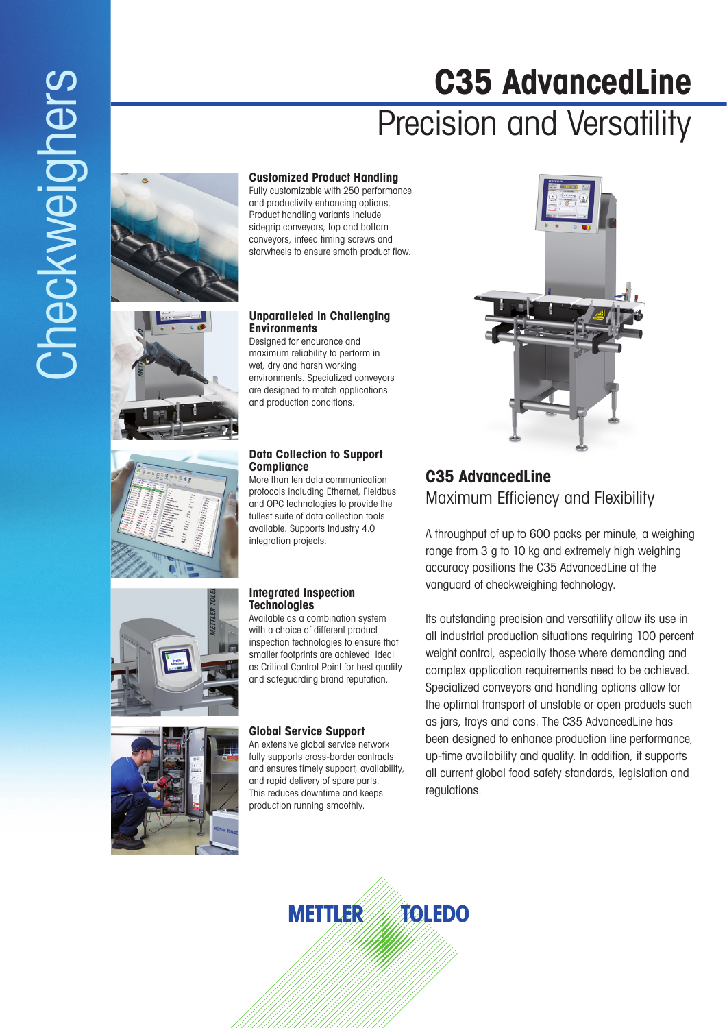# **C35 AdvancedLine** Precision and Versatility



# **Customized Product Handling**

Fully customizable with 250 performance and productivity enhancing options. Product handling variants include sidegrip conveyors, top and bottom conveyors, infeed timing screws and starwheels to ensure smoth product flow.

# **Unparalleled in Challenging Environments**

Designed for endurance and maximum reliability to perform in wet, dry and harsh working environments. Specialized conveyors are designed to match applications and production conditions.

# **Data Collection to Support Compliance**

More than ten data communication protocols including Ethernet, Fieldbus and OPC technologies to provide the fullest suite of data collection tools available. Supports Industry 4.0 integration projects.

# **Integrated Inspection Technologies**

Available as a combination system with a choice of different product inspection technologies to ensure that smaller footprints are achieved. Ideal as Critical Control Point for best quality and safeguarding brand reputation.

# **Global Service Support**

An extensive global service network fully supports cross-border contracts and ensures timely support, availability, and rapid delivery of spare parts. This reduces downtime and keeps production running smoothly.



# **C35 AdvancedLine**  Maximum Efficiency and Flexibility

A throughput of up to 600 packs per minute, a weighing range from 3 g to 10 kg and extremely high weighing accuracy positions the C35 AdvancedLine at the vanguard of checkweighing technology.

Its outstanding precision and versatility allow its use in all industrial production situations requiring 100 percent weight control, especially those where demanding and complex application requirements need to be achieved. Specialized conveyors and handling options allow for the optimal transport of unstable or open products such as jars, trays and cans. The C35 AdvancedLine has been designed to enhance production line performance, up-time availability and quality. In addition, it supports all current global food safety standards, legislation and regulations.



# Checkweighers **Checkweighers**